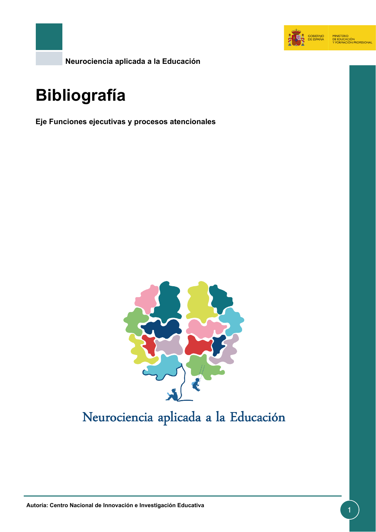

**Neurociencia aplicada a la Educación**

# **Bibliografía**

**Eje Funciones ejecutivas y procesos atencionales**



## Neurociencia aplicada a la Educación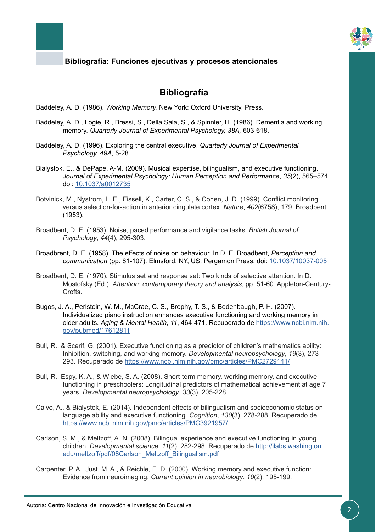

### **Bibliografía**

Baddeley, A. D. (1986). *Working Memory.* New York: Oxford University. Press.

- Baddeley, A. D., Logie, R., Bressi, S., Della Sala, S., & Spinnler, H. (1986). Dementia and working memory. *Quarterly Journal of Experimental Psychology, 38A,* 603-618.
- Baddeley, A. D. (1996). Exploring the central executive. *Quarterly Journal of Experimental Psychology, 49A*, 5-28.
- Bialystok, E., & DePape, A-M. (2009). Musical expertise, bilingualism, and executive functioning. *Journal of Experimental Psychology: Human Perception and Performance*, *35*(2), 565–574. doi: [10.1037/a0012735](http://psycnet.apa.org/doiLanding?doi=10.1037%2Fa0012735)
- Botvinick, M., Nystrom, L. E., Fissell, K., Carter, C. S., & Cohen, J. D. (1999). Conflict monitoring versus selection-for-action in anterior cingulate cortex. *Nature*, *402*(6758), 179. Broadbent (1953).
- Broadbent, D. E. (1953). Noise, paced performance and vigilance tasks. *British Journal of Psychology*, *44*(4), 295-303.
- Broadbrent, D. E. (1958). The effects of noise on behaviour. In D. E. Broadbent, *Perception and communication* (pp. 81-107). Elmsford, NY, US: Pergamon Press. doi: [10.1037/10037-005](http://psycnet.apa.org/record/2004-16224-005)
- Broadbent, D. E. (1970). Stimulus set and response set: Two kinds of selective attention. In D. Mostofsky (Ed.), *Attention: contemporary theory and analysis*, pp. 51-60. Appleton-Century-Crofts.
- Bugos, J. A., Perlstein, W. M., McCrae, C. S., Brophy, T. S., & Bedenbaugh, P. H. (2007). Individualized piano instruction enhances executive functioning and working memory in older adults. *Aging & Mental Health*, *11*, 464-471. Recuperado de [https://www.ncbi.nlm.nih.](https://www.ncbi.nlm.nih.gov/pubmed/17612811) [gov/pubmed/17612811](https://www.ncbi.nlm.nih.gov/pubmed/17612811)
- Bull, R., & Scerif, G. (2001). Executive functioning as a predictor of children's mathematics ability: Inhibition, switching, and working memory. *Developmental neuropsychology*, *19*(3), 273- 293. Recuperado de<https://www.ncbi.nlm.nih.gov/pmc/articles/PMC2729141/>
- Bull, R., Espy, K. A., & Wiebe, S. A. (2008). Short-term memory, working memory, and executive functioning in preschoolers: Longitudinal predictors of mathematical achievement at age 7 years. *Developmental neuropsychology*, *33*(3), 205-228.
- Calvo, A., & Bialystok, E. (2014). Independent effects of bilingualism and socioeconomic status on language ability and executive functioning. *Cognition*, *130*(3), 278-288. Recuperado de <https://www.ncbi.nlm.nih.gov/pmc/articles/PMC3921957/>
- Carlson, S. M., & Meltzoff, A. N. (2008). Bilingual experience and executive functioning in young children. *Developmental science*, *11*(2), 282-298. Recuperado de [http://ilabs.washington.](http://ilabs.washington.edu/meltzoff/pdf/08Carlson_Meltzoff_Bilingualism.pdf) [edu/meltzoff/pdf/08Carlson\\_Meltzoff\\_Bilingualism.pdf](http://ilabs.washington.edu/meltzoff/pdf/08Carlson_Meltzoff_Bilingualism.pdf)
- Carpenter, P. A., Just, M. A., & Reichle, E. D. (2000). Working memory and executive function: Evidence from neuroimaging. *Current opinion in neurobiology*, *10*(2), 195-199.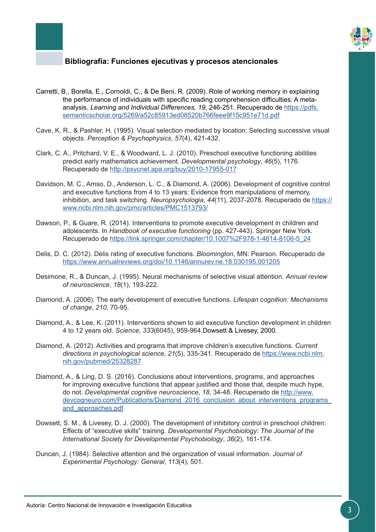

- Carretti, B., Borella, E., Cornoldi, C., & De Beni, R. (2009). Role of working memory in explaining the performance of individuals with specific reading comprehension difficulties: A metaanalysis. *Learning and Individual Differences, 19*, 246-251. Recuperado de [https://pdfs.](https://pdfs.semanticscholar.org/5269/a52c85913ed08520b766feee9f15c951e71d.pdf) [semanticscholar.org/5269/a52c85913ed08520b766feee9f15c951e71d.pdf](https://pdfs.semanticscholar.org/5269/a52c85913ed08520b766feee9f15c951e71d.pdf)
- Cave, K. R., & Pashler, H. (1995). Visual selection mediated by location: Selecting successive visual objects. *Perception & Psychophysics*, *57*(4), 421-432.
- Clark, C. A., Pritchard, V. E., & Woodward, L. J. (2010). Preschool executive functioning abilities predict early mathematics achievement. *Developmental psychology*, *46*(5), 1176. Recuperado de<http://psycnet.apa.org/buy/2010-17955-017>
- Davidson, M. C., Amso, D., Anderson, L. C., & Diamond, A. (2006). Development of cognitive control and executive functions from 4 to 13 years: Evidence from manipulations of memory, inhibition, and task switching. *Neuropsychologia*, *44*(11), 2037-2078. Recuperado de [https://](https://www.ncbi.nlm.nih.gov/pmc/articles/PMC1513793/) [www.ncbi.nlm.nih.gov/pmc/articles/PMC1513793/](https://www.ncbi.nlm.nih.gov/pmc/articles/PMC1513793/)
- Dawson, P., & Guare, R. (2014). Interventions to promote executive development in children and adolescents. In *Handbook of executive functioning* (pp. 427-443). Springer New York. Recuperado de [https://link.springer.com/chapter/10.1007%2F978-1-4614-8106-5\\_24](https://link.springer.com/chapter/10.1007%2F978-1-4614-8106-5_24)
- Delis, D. C. (2012). Delis rating of executive functions. *Bloomington,* MN: Pearson. Recuperado de <https://www.annualreviews.org/doi/10.1146/annurev.ne.18.030195.001205>
- Desimone, R., & Duncan, J. (1995). Neural mechanisms of selective visual attention. *Annual review of neuroscience*, *18*(1), 193-222.
- Diamond, A. (2006). The early development of executive functions. *Lifespan cognition: Mechanisms of change*, *210*, 70-95.
- Diamond, A., & Lee, K. (2011). Interventions shown to aid executive function development in children 4 to 12 years old. *Science*, *333*(6045), 959-964.Dowsett & Livesey, 2000.
- Diamond, A. (2012). Activities and programs that improve children's executive functions. *Current directions in psychological science*, *21*(5), 335-341. Recuperado de [https://www.ncbi.nlm.](https://www.ncbi.nlm.nih.gov/pubmed/25328287) [nih.gov/pubmed/25328287](https://www.ncbi.nlm.nih.gov/pubmed/25328287)
- Diamond, A., & Ling, D. S. (2016). Conclusions about interventions, programs, and approaches for improving executive functions that appear justified and those that, despite much hype, do not. *Developmental cognitive neuroscience*, *18*, 34-48. Recuperado de [http://www.](http://www.devcogneuro.com/Publications/Diamond_2016_conclusion_about_interventions_programs_and_approaches.pdf) devcogneuro.com/Publications/Diamond 2016 conclusion about interventions programs [and\\_approaches.pdf](http://www.devcogneuro.com/Publications/Diamond_2016_conclusion_about_interventions_programs_and_approaches.pdf)
- Dowsett, S. M., & Livesey, D. J. (2000). The development of inhibitory control in preschool children: Effects of "executive skills" training. *Developmental Psychobiology: The Journal of the International Society for Developmental Psychobiology*, *36*(2), 161-174.
- Duncan, J. (1984). Selective attention and the organization of visual information. *Journal of Experimental Psychology: General*, *113*(4), 501.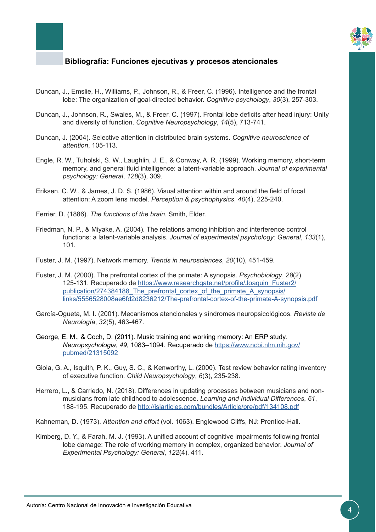

- Duncan, J., Emslie, H., Williams, P., Johnson, R., & Freer, C. (1996). Intelligence and the frontal lobe: The organization of goal-directed behavior. *Cognitive psychology*, *30*(3), 257-303.
- Duncan, J., Johnson, R., Swales, M., & Freer, C. (1997). Frontal lobe deficits after head injury: Unity and diversity of function. *Cognitive Neuropsychology*, *14*(5), 713-741.
- Duncan, J. (2004). Selective attention in distributed brain systems. *Cognitive neuroscience of attention*, 105-113.
- Engle, R. W., Tuholski, S. W., Laughlin, J. E., & Conway, A. R. (1999). Working memory, short-term memory, and general fluid intelligence: a latent-variable approach. *Journal of experimental psychology: General*, *128*(3), 309.
- Eriksen, C. W., & James, J. D. S. (1986). Visual attention within and around the field of focal attention: A zoom lens model. *Perception & psychophysics*, *40*(4), 225-240.
- Ferrier, D. (1886). *The functions of the brain*. Smith, Elder.
- Friedman, N. P., & Miyake, A. (2004). The relations among inhibition and interference control functions: a latent-variable analysis. *Journal of experimental psychology: General*, *133*(1), 101.
- Fuster, J. M. (1997). Network memory. *Trends in neurosciences*, *20*(10), 451-459.
- Fuster, J. M. (2000). The prefrontal cortex of the primate: A synopsis. *Psychobiology*, *28*(2), 125-131. Recuperado de [https://www.researchgate.net/profile/Joaquin\\_Fuster2/](https://www.researchgate.net/profile/Joaquin_Fuster2/publication/274384188_The_prefrontal_cortex_of_the_primate_A_synopsis/links/5556528008ae6fd2d8236212/The-prefrontal-cortex-of-the-primate-A-synopsis.pdf) [publication/274384188\\_The\\_prefrontal\\_cortex\\_of\\_the\\_primate\\_A\\_synopsis/](https://www.researchgate.net/profile/Joaquin_Fuster2/publication/274384188_The_prefrontal_cortex_of_the_primate_A_synopsis/links/5556528008ae6fd2d8236212/The-prefrontal-cortex-of-the-primate-A-synopsis.pdf) [links/5556528008ae6fd2d8236212/The-prefrontal-cortex-of-the-primate-A-synopsis.pdf](https://www.researchgate.net/profile/Joaquin_Fuster2/publication/274384188_The_prefrontal_cortex_of_the_primate_A_synopsis/links/5556528008ae6fd2d8236212/The-prefrontal-cortex-of-the-primate-A-synopsis.pdf)
- García-Ogueta, M. I. (2001). Mecanismos atencionales y síndromes neuropsicológicos. *Revista de Neurología*, *32*(5), 463-467.
- George, E. M., & Coch, D. (2011). Music training and working memory: An ERP study. *Neuropsychologia*, *49*, 1083–1094. Recuperado de [https://www.ncbi.nlm.nih.gov/](https://www.ncbi.nlm.nih.gov/pubmed/21315092) [pubmed/21315092](https://www.ncbi.nlm.nih.gov/pubmed/21315092)
- Gioia, G. A., Isquith, P. K., Guy, S. C., & Kenworthy, L. (2000). Test review behavior rating inventory of executive function. *Child Neuropsychology*, *6*(3), 235-238.
- Herrero, L., & Carriedo, N. (2018). Differences in updating processes between musicians and nonmusicians from late childhood to adolescence. *Learning and Individual Differences*, *61*, 188-195. Recuperado de<http://isiarticles.com/bundles/Article/pre/pdf/134108.pdf>
- Kahneman, D. (1973). *Attention and effort* (vol. 1063). Englewood Cliffs, NJ: Prentice-Hall.
- Kimberg, D. Y., & Farah, M. J. (1993). A unified account of cognitive impairments following frontal lobe damage: The role of working memory in complex, organized behavior. *Journal of Experimental Psychology: General*, *122*(4), 411.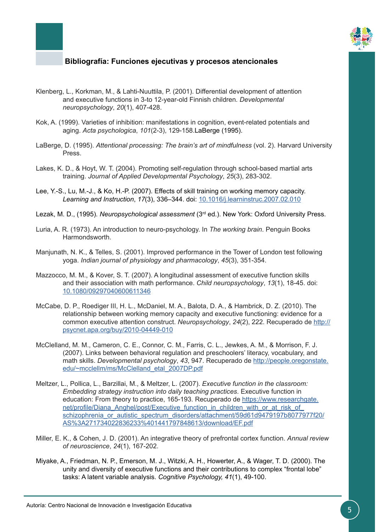

- Klenberg, L., Korkman, M., & Lahti-Nuuttila, P. (2001). Differential development of attention and executive functions in 3-to 12-year-old Finnish children. *Developmental neuropsychology*, *20*(1), 407-428.
- Kok, A. (1999). Varieties of inhibition: manifestations in cognition, event-related potentials and aging. *Acta psychologica*, *101*(2-3), 129-158.LaBerge (1995).
- LaBerge, D. (1995). *Attentional processing: The brain's art of mindfulness* (vol. 2). Harvard University Press.
- Lakes, K. D., & Hoyt, W. T. (2004). Promoting self-regulation through school-based martial arts training. *Journal of Applied Developmental Psychology*, *25*(3), 283-302.
- Lee, Y.-S., Lu, M.-J., & Ko, H.-P. (2007). Effects of skill training on working memory capacity. *Learning and Instruction*, *17*(3), 336–344. doi: [10.1016/j.learninstruc.2007.02.010](https://www.sciencedirect.com/science/article/pii/S0959475207000333?via%3Dihub)
- Lezak, M. D., (1995). *Neuropsychological assessment* (3rd ed.). New York: Oxford University Press.
- Luria, A. R. (1973). An introduction to neuro-psychology. In *The working brain*. Penguin Books Harmondsworth.
- Manjunath, N. K., & Telles, S. (2001). Improved performance in the Tower of London test following yoga. *Indian journal of physiology and pharmacology*, *45*(3), 351-354.
- Mazzocco, M. M., & Kover, S. T. (2007). A longitudinal assessment of executive function skills and their association with math performance. *Child neuropsychology*, *13*(1), 18-45. doi: [10.1080/09297040600611346](https://www.ncbi.nlm.nih.gov/pubmed/17364562)
- McCabe, D. P., Roediger III, H. L., McDaniel, M. A., Balota, D. A., & Hambrick, D. Z. (2010). The relationship between working memory capacity and executive functioning: evidence for a common executive attention construct. *Neuropsychology*, *24*(2), 222. Recuperado de [http://](http://psycnet.apa.org/buy/2010-04449-010) [psycnet.apa.org/buy/2010-04449-010](http://psycnet.apa.org/buy/2010-04449-010)
- McClelland, M. M., Cameron, C. E., Connor, C. M., Farris, C. L., Jewkes, A. M., & Morrison, F. J. (2007). Links between behavioral regulation and preschoolers' literacy, vocabulary, and math skills. *Developmental psychology*, *43*, 947. Recuperado de [http://people.oregonstate.](http://people.oregonstate.edu/~mcclellm/ms/McClelland_etal_2007DP.pdf) [edu/~mcclellm/ms/McClelland\\_etal\\_2007DP.pdf](http://people.oregonstate.edu/~mcclellm/ms/McClelland_etal_2007DP.pdf)
- Meltzer, L., Pollica, L., Barzillai, M., & Meltzer, L. (2007). *Executive function in the classroom: Embedding strategy instruction into daily teaching practices*. Executive function in education: From theory to practice, 165-193. Recuperado de [https://www.researchgate.](https://www.researchgate.net/profile/Diana_Anghel/post/Executive_function_in_children_with_or_at_risk_of_schizophrenia_or_autistic_spectrum_disorders/attachment/59d61d9479197b8077977f20/AS%3A271734022836233%401441797848613/download/EF.pdf) net/profile/Diana\_Anghel/post/Executive\_function\_in\_children\_with\_or\_at\_risk\_of [schizophrenia\\_or\\_autistic\\_spectrum\\_disorders/attachment/59d61d9479197b8077977f20/](https://www.researchgate.net/profile/Diana_Anghel/post/Executive_function_in_children_with_or_at_risk_of_schizophrenia_or_autistic_spectrum_disorders/attachment/59d61d9479197b8077977f20/AS%3A271734022836233%401441797848613/download/EF.pdf) [AS%3A271734022836233%401441797848613/download/EF.pdf](https://www.researchgate.net/profile/Diana_Anghel/post/Executive_function_in_children_with_or_at_risk_of_schizophrenia_or_autistic_spectrum_disorders/attachment/59d61d9479197b8077977f20/AS%3A271734022836233%401441797848613/download/EF.pdf)
- Miller, E. K., & Cohen, J. D. (2001). An integrative theory of prefrontal cortex function. *Annual review of neuroscience*, *24*(1), 167-202.
- Miyake, A., Friedman, N. P., Emerson, M. J., Witzki, A. H., Howerter, A., & Wager, T. D. (2000). The unity and diversity of executive functions and their contributions to complex "frontal lobe" tasks: A latent variable analysis. *Cognitive Psychology, 41*(1), 49-100.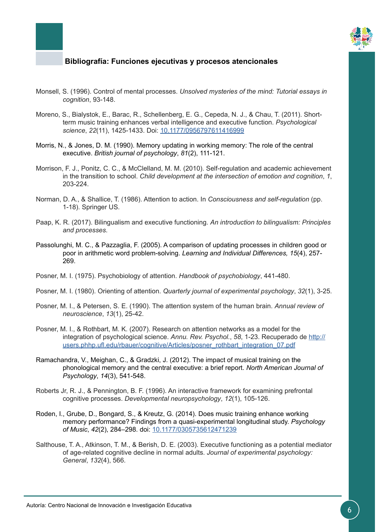

- Monsell, S. (1996). Control of mental processes. *Unsolved mysteries of the mind: Tutorial essays in cognition*, 93-148.
- Moreno, S., Bialystok, E., Barac, R., Schellenberg, E. G., Cepeda, N. J., & Chau, T. (2011). Shortterm music training enhances verbal intelligence and executive function. *Psychological science*, *22*(11), 1425-1433. Doi: [10.1177/0956797611416999](http://journals.sagepub.com/doi/abs/10.1177/0956797611416999?journalCode=pssa)
- Morris, N., & Jones, D. M. (1990). Memory updating in working memory: The role of the central executive. *British journal of psychology*, *81*(2), 111-121.
- Morrison, F. J., Ponitz, C. C., & McClelland, M. M. (2010). Self-regulation and academic achievement in the transition to school. *Child development at the intersection of emotion and cognition*, *1*, 203-224.
- Norman, D. A., & Shallice, T. (1986). Attention to action. In *Consciousness and self-regulation* (pp. 1-18). Springer US.
- Paap, K. R. (2017). Bilingualism and executive functioning. *An introduction to bilingualism: Principles and processes*.
- Passolunghi, M. C., & Pazzaglia, F. (2005). A comparison of updating processes in children good or poor in arithmetic word problem-solving. *Learning and Individual Differences, 15*(4), 257- 269.
- Posner, M. I. (1975). Psychobiology of attention. *Handbook of psychobiology*, 441-480.
- Posner, M. I. (1980). Orienting of attention. *Quarterly journal of experimental psychology*, *32*(1), 3-25.
- Posner, M. I., & Petersen, S. E. (1990). The attention system of the human brain. *Annual review of neuroscience*, *13*(1), 25-42.
- Posner, M. I., & Rothbart, M. K. (2007). Research on attention networks as a model for the integration of psychological science. *Annu. Rev. Psychol.*, *58*, 1-23. Recuperado de [http://](http://users.phhp.ufl.edu/rbauer/cognitive/Articles/posner_rothbart_integration_07.pdf) [users.phhp.ufl.edu/rbauer/cognitive/Articles/posner\\_rothbart\\_integration\\_07.pdf](http://users.phhp.ufl.edu/rbauer/cognitive/Articles/posner_rothbart_integration_07.pdf)
- Ramachandra, V., Meighan, C., & Gradzki, J. (2012). The impact of musical training on the phonological memory and the central executive: a brief report. *North American Journal of Psychology*, *14*(3), 541-548.
- Roberts Jr, R. J., & Pennington, B. F. (1996). An interactive framework for examining prefrontal cognitive processes. *Developmental neuropsychology*, *12*(1), 105-126.
- Roden, I., Grube, D., Bongard, S., & Kreutz, G. (2014). Does music training enhance working memory performance? Findings from a quasi-experimental longitudinal study. *Psychology of Music*, *42*(2), 284–298. doi: [10.1177/0305735612471239](http://journals.sagepub.com/doi/abs/10.1177/0305735612471239?journalCode=poma)
- Salthouse, T. A., Atkinson, T. M., & Berish, D. E. (2003). Executive functioning as a potential mediator of age-related cognitive decline in normal adults. *Journal of experimental psychology: General*, *132*(4), 566.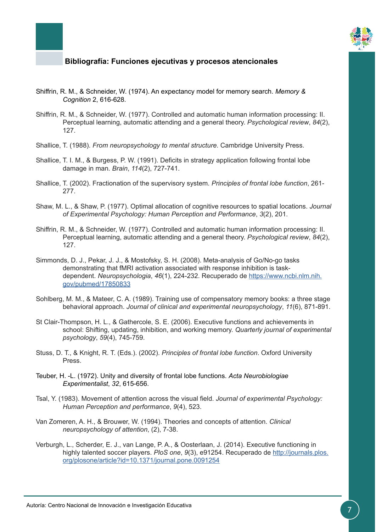

- Shiffrin, R. M., & Schneider, W. (1974). An expectancy model for memory search. *Memory & Cognition* 2, 616-628.
- Shiffrin, R. M., & Schneider, W. (1977). Controlled and automatic human information processing: II. Perceptual learning, automatic attending and a general theory. *Psychological review*, *84*(2), 127.
- Shallice, T. (1988). *From neuropsychology to mental structure*. Cambridge University Press.
- Shallice, T. I. M., & Burgess, P. W. (1991). Deficits in strategy application following frontal lobe damage in man. *Brain*, *114*(2), 727-741.
- Shallice, T. (2002). Fractionation of the supervisory system. *Principles of frontal lobe function*, 261- 277.
- Shaw, M. L., & Shaw, P. (1977). Optimal allocation of cognitive resources to spatial locations. *Journal of Experimental Psychology: Human Perception and Performance*, *3*(2), 201.
- Shiffrin, R. M., & Schneider, W. (1977). Controlled and automatic human information processing: II. Perceptual learning, automatic attending and a general theory. *Psychological review*, *84*(2), 127.
- Simmonds, D. J., Pekar, J. J., & Mostofsky, S. H. (2008). Meta-analysis of Go/No-go tasks demonstrating that fMRI activation associated with response inhibition is taskdependent. *Neuropsychologia*, *46*(1), 224-232. Recuperado de [https://www.ncbi.nlm.nih.](https://www.ncbi.nlm.nih.gov/pubmed/17850833) [gov/pubmed/17850833](https://www.ncbi.nlm.nih.gov/pubmed/17850833)
- Sohlberg, M. M., & Mateer, C. A. (1989). Training use of compensatory memory books: a three stage behavioral approach. *Journal of clinical and experimental neuropsychology*, *11*(6), 871-891.
- St Clair-Thompson, H. L., & Gathercole, S. E. (2006). Executive functions and achievements in school: Shifting, updating, inhibition, and working memory. *Quarterly journal of experimental psychology*, *59*(4), 745-759.
- Stuss, D. T., & Knight, R. T. (Eds.). (2002). *Principles of frontal lobe function*. Oxford University Press.
- Teuber, H. -L. (1972). Unity and diversity of frontal lobe functions. *Acta Neurobiologiae Experimentalist*, *32*, 615-656.
- Tsal, Y. (1983). Movement of attention across the visual field. *Journal of experimental Psychology: Human Perception and performance*, *9*(4), 523.
- Van Zomeren, A. H., & Brouwer, W. (1994). Theories and concepts of attention. *Clinical neuropsychology of attention*, (2), 7-38.
- Verburgh, L., Scherder, E. J., van Lange, P. A., & Oosterlaan, J. (2014). Executive functioning in highly talented soccer players. *PloS one*, *9*(3), e91254. Recuperado de [http://journals.plos.](http://journals.plos.org/plosone/article?id=10.1371/journal.pone.0091254) [org/plosone/article?id=10.1371/journal.pone.0091254](http://journals.plos.org/plosone/article?id=10.1371/journal.pone.0091254)